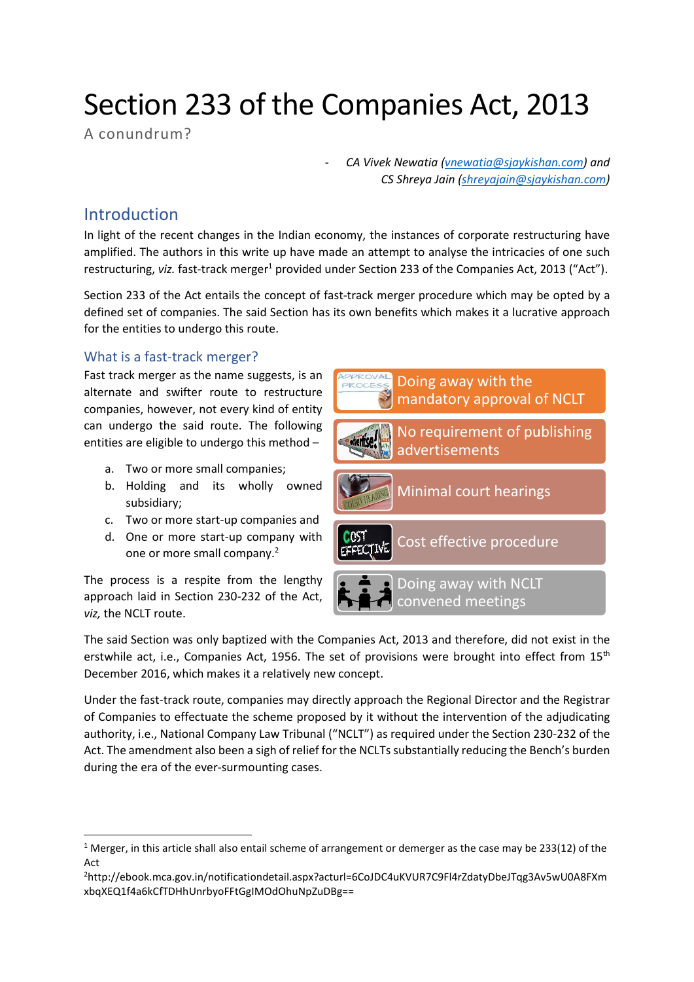# Section 233 of the Companies Act, 2013

A conundrum?

- *CA Vivek Newatia [\(vnewatia@sjaykishan.com\)](mailto:vnewatia@sjaykishan.com) and CS Shreya Jain [\(shreyajain@sjaykishan.com\)](mailto:shreyajain@sjaykishan.com)* 

## Introduction

In light of the recent changes in the Indian economy, the instances of corporate restructuring have amplified. The authors in this write up have made an attempt to analyse the intricacies of one such restructuring, *viz.* fast-track merger<sup>1</sup> provided under Section 233 of the Companies Act, 2013 ("Act").

Section 233 of the Act entails the concept of fast-track merger procedure which may be opted by a defined set of companies. The said Section has its own benefits which makes it a lucrative approach for the entities to undergo this route.

## What is a fast-track merger?

Fast track merger as the name suggests, is an alternate and swifter route to restructure companies, however, not every kind of entity can undergo the said route. The following entities are eligible to undergo this method –

- a. Two or more small companies;
- b. Holding and its wholly owned subsidiary;
- c. Two or more start-up companies and
- d. One or more start-up company with one or more small company.<sup>2</sup>



The process is a respite from the lengthy approach laid in Section 230-232 of the Act, *viz,* the NCLT route.

The said Section was only baptized with the Companies Act, 2013 and therefore, did not exist in the erstwhile act, i.e., Companies Act, 1956. The set of provisions were brought into effect from 15<sup>th</sup> December 2016, which makes it a relatively new concept.

Under the fast-track route, companies may directly approach the Regional Director and the Registrar of Companies to effectuate the scheme proposed by it without the intervention of the adjudicating authority, i.e., National Company Law Tribunal ("NCLT") as required under the Section 230-232 of the Act. The amendment also been a sigh of relief for the NCLTs substantially reducing the Bench's burden during the era of the ever-surmounting cases.

<sup>&</sup>lt;sup>1</sup> Merger, in this article shall also entail scheme of arrangement or demerger as the case may be 233(12) of the Act

<sup>2</sup>http://ebook.mca.gov.in/notificationdetail.aspx?acturl=6CoJDC4uKVUR7C9Fl4rZdatyDbeJTqg3Av5wU0A8FXm xbqXEQ1f4a6kCfTDHhUnrbyoFFtGgIMOdOhuNpZuDBg==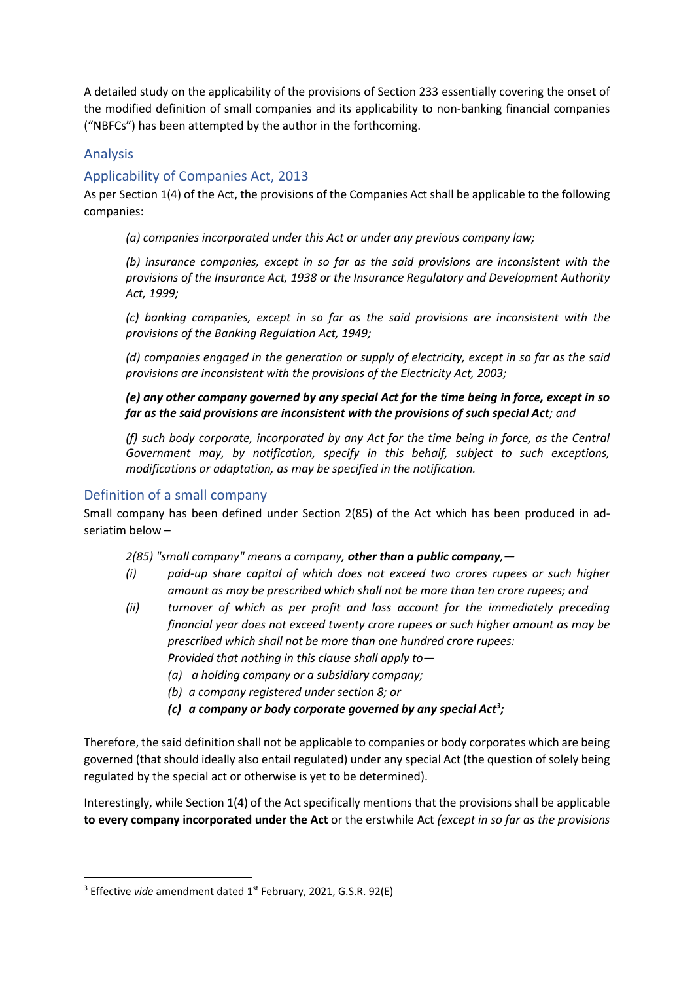A detailed study on the applicability of the provisions of Section 233 essentially covering the onset of the modified definition of small companies and its applicability to non-banking financial companies ("NBFCs") has been attempted by the author in the forthcoming.

## Analysis

## Applicability of Companies Act, 2013

As per Section 1(4) of the Act, the provisions of the Companies Act shall be applicable to the following companies:

*(a) companies incorporated under this Act or under any previous company law;*

*(b) insurance companies, except in so far as the said provisions are inconsistent with the provisions of the Insurance Act, 1938 or the Insurance Regulatory and Development Authority Act, 1999;*

*(c) banking companies, except in so far as the said provisions are inconsistent with the provisions of the Banking Regulation Act, 1949;*

*(d) companies engaged in the generation or supply of electricity, except in so far as the said provisions are inconsistent with the provisions of the Electricity Act, 2003;*

*(e) any other company governed by any special Act for the time being in force, except in so far as the said provisions are inconsistent with the provisions of such special Act; and*

*(f) such body corporate, incorporated by any Act for the time being in force, as the Central Government may, by notification, specify in this behalf, subject to such exceptions, modifications or adaptation, as may be specified in the notification.*

### Definition of a small company

Small company has been defined under Section 2(85) of the Act which has been produced in adseriatim below –

*2(85) "small company" means a company, other than a public company,—*

- *(i) paid-up share capital of which does not exceed two crores rupees or such higher amount as may be prescribed which shall not be more than ten crore rupees; and*
- *(ii) turnover of which as per profit and loss account for the immediately preceding financial year does not exceed twenty crore rupees or such higher amount as may be prescribed which shall not be more than one hundred crore rupees: Provided that nothing in this clause shall apply to—*
	- *(a) a holding company or a subsidiary company;*
	- *(b) a company registered under section 8; or*
	- *(c) a company or body corporate governed by any special Act 3 ;*

Therefore, the said definition shall not be applicable to companies or body corporates which are being governed (that should ideally also entail regulated) under any special Act (the question of solely being regulated by the special act or otherwise is yet to be determined).

Interestingly, while Section 1(4) of the Act specifically mentions that the provisions shall be applicable **to every company incorporated under the Act** or the erstwhile Act *(except in so far as the provisions* 

<sup>&</sup>lt;sup>3</sup> Effective *vide* amendment dated 1<sup>st</sup> February, 2021, G.S.R. 92(E)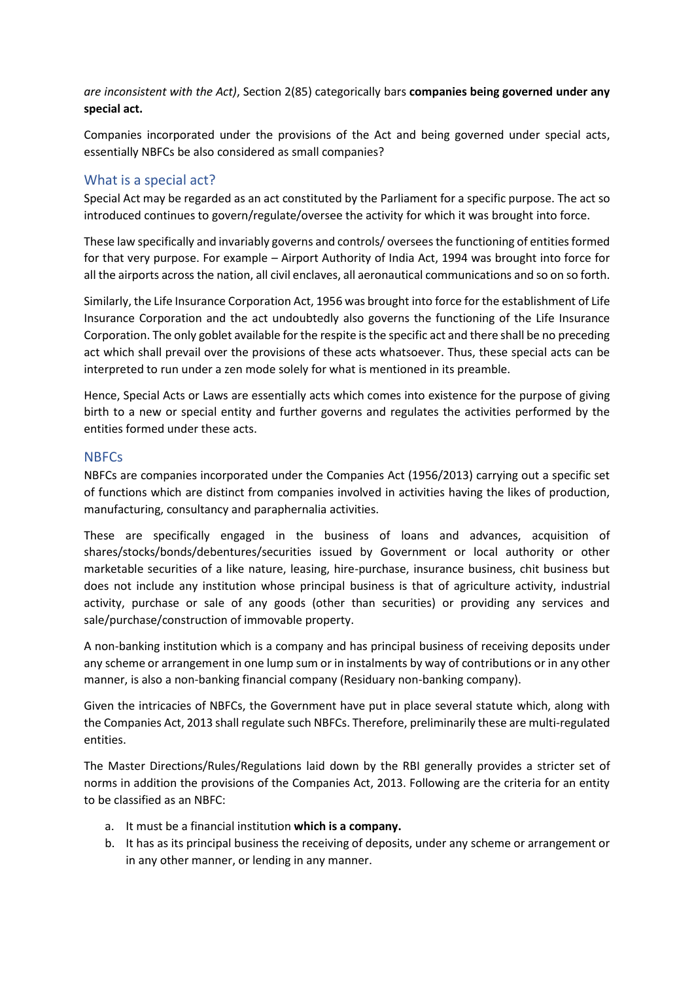*are inconsistent with the Act)*, Section 2(85) categorically bars **companies being governed under any special act.**

Companies incorporated under the provisions of the Act and being governed under special acts, essentially NBFCs be also considered as small companies?

#### What is a special act?

Special Act may be regarded as an act constituted by the Parliament for a specific purpose. The act so introduced continues to govern/regulate/oversee the activity for which it was brought into force.

These law specifically and invariably governs and controls/ oversees the functioning of entities formed for that very purpose. For example – Airport Authority of India Act, 1994 was brought into force for all the airports across the nation, all civil enclaves, all aeronautical communications and so on so forth.

Similarly, the Life Insurance Corporation Act, 1956 was brought into force for the establishment of Life Insurance Corporation and the act undoubtedly also governs the functioning of the Life Insurance Corporation. The only goblet available for the respite is the specific act and there shall be no preceding act which shall prevail over the provisions of these acts whatsoever. Thus, these special acts can be interpreted to run under a zen mode solely for what is mentioned in its preamble.

Hence, Special Acts or Laws are essentially acts which comes into existence for the purpose of giving birth to a new or special entity and further governs and regulates the activities performed by the entities formed under these acts.

#### **NBFCs**

NBFCs are companies incorporated under the Companies Act (1956/2013) carrying out a specific set of functions which are distinct from companies involved in activities having the likes of production, manufacturing, consultancy and paraphernalia activities.

These are specifically engaged in the business of loans and advances, acquisition of shares/stocks/bonds/debentures/securities issued by Government or local authority or other marketable securities of a like nature, leasing, hire-purchase, insurance business, chit business but does not include any institution whose principal business is that of agriculture activity, industrial activity, purchase or sale of any goods (other than securities) or providing any services and sale/purchase/construction of immovable property.

A non-banking institution which is a company and has principal business of receiving deposits under any scheme or arrangement in one lump sum or in instalments by way of contributions or in any other manner, is also a non-banking financial company (Residuary non-banking company).

Given the intricacies of NBFCs, the Government have put in place several statute which, along with the Companies Act, 2013 shall regulate such NBFCs. Therefore, preliminarily these are multi-regulated entities.

The Master Directions/Rules/Regulations laid down by the RBI generally provides a stricter set of norms in addition the provisions of the Companies Act, 2013. Following are the criteria for an entity to be classified as an NBFC:

- a. It must be a financial institution **which is a company.**
- b. It has as its principal business the receiving of deposits, under any scheme or arrangement or in any other manner, or lending in any manner.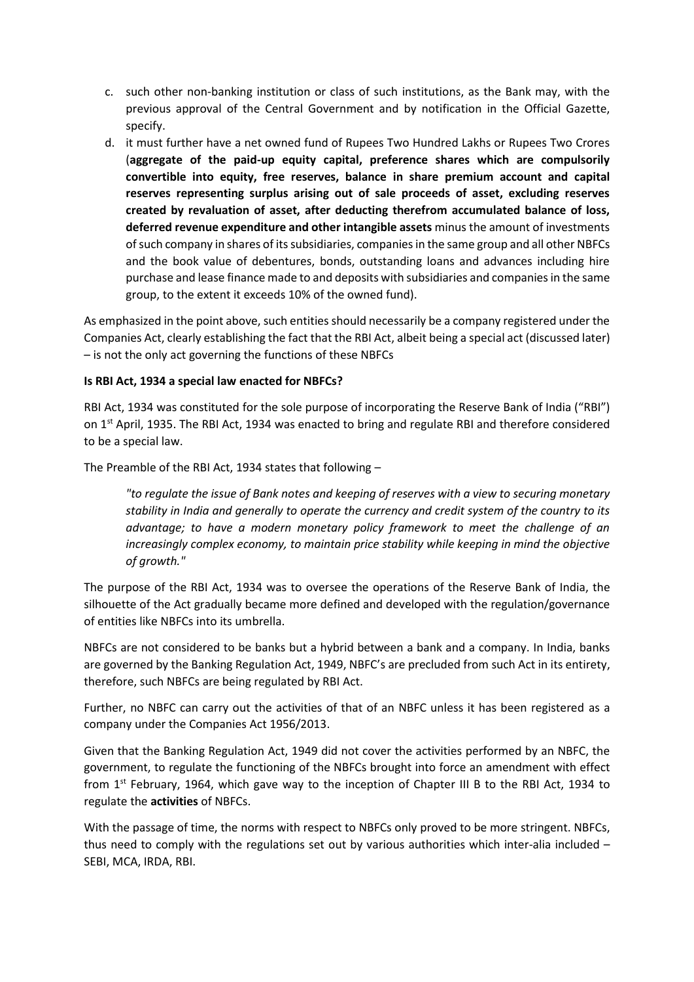- c. such other non-banking institution or class of such institutions, as the Bank may, with the previous approval of the Central Government and by notification in the Official Gazette, specify.
- d. it must further have a net owned fund of Rupees Two Hundred Lakhs or Rupees Two Crores (**aggregate of the paid-up equity capital, preference shares which are compulsorily convertible into equity, free reserves, balance in share premium account and capital reserves representing surplus arising out of sale proceeds of asset, excluding reserves created by revaluation of asset, after deducting therefrom accumulated balance of loss, deferred revenue expenditure and other intangible assets** minus the amount of investments of such company in shares of its subsidiaries, companies in the same group and all other NBFCs and the book value of debentures, bonds, outstanding loans and advances including hire purchase and lease finance made to and deposits with subsidiaries and companies in the same group, to the extent it exceeds 10% of the owned fund).

As emphasized in the point above, such entities should necessarily be a company registered under the Companies Act, clearly establishing the fact that the RBI Act, albeit being a special act (discussed later) – is not the only act governing the functions of these NBFCs

#### **Is RBI Act, 1934 a special law enacted for NBFCs?**

RBI Act, 1934 was constituted for the sole purpose of incorporating the Reserve Bank of India ("RBI") on 1<sup>st</sup> April, 1935. The RBI Act, 1934 was enacted to bring and regulate RBI and therefore considered to be a special law.

The Preamble of the RBI Act, 1934 states that following –

*"to regulate the issue of Bank notes and keeping of reserves with a view to securing monetary stability in India and generally to operate the currency and credit system of the country to its advantage; to have a modern monetary policy framework to meet the challenge of an increasingly complex economy, to maintain price stability while keeping in mind the objective of growth."*

The purpose of the RBI Act, 1934 was to oversee the operations of the Reserve Bank of India, the silhouette of the Act gradually became more defined and developed with the regulation/governance of entities like NBFCs into its umbrella.

NBFCs are not considered to be banks but a hybrid between a bank and a company. In India, banks are governed by the Banking Regulation Act, 1949, NBFC's are precluded from such Act in its entirety, therefore, such NBFCs are being regulated by RBI Act.

Further, no NBFC can carry out the activities of that of an NBFC unless it has been registered as a company under the Companies Act 1956/2013.

Given that the Banking Regulation Act, 1949 did not cover the activities performed by an NBFC, the government, to regulate the functioning of the NBFCs brought into force an amendment with effect from 1<sup>st</sup> February, 1964, which gave way to the inception of Chapter III B to the RBI Act, 1934 to regulate the **activities** of NBFCs.

With the passage of time, the norms with respect to NBFCs only proved to be more stringent. NBFCs, thus need to comply with the regulations set out by various authorities which inter-alia included – SEBI, MCA, IRDA, RBI.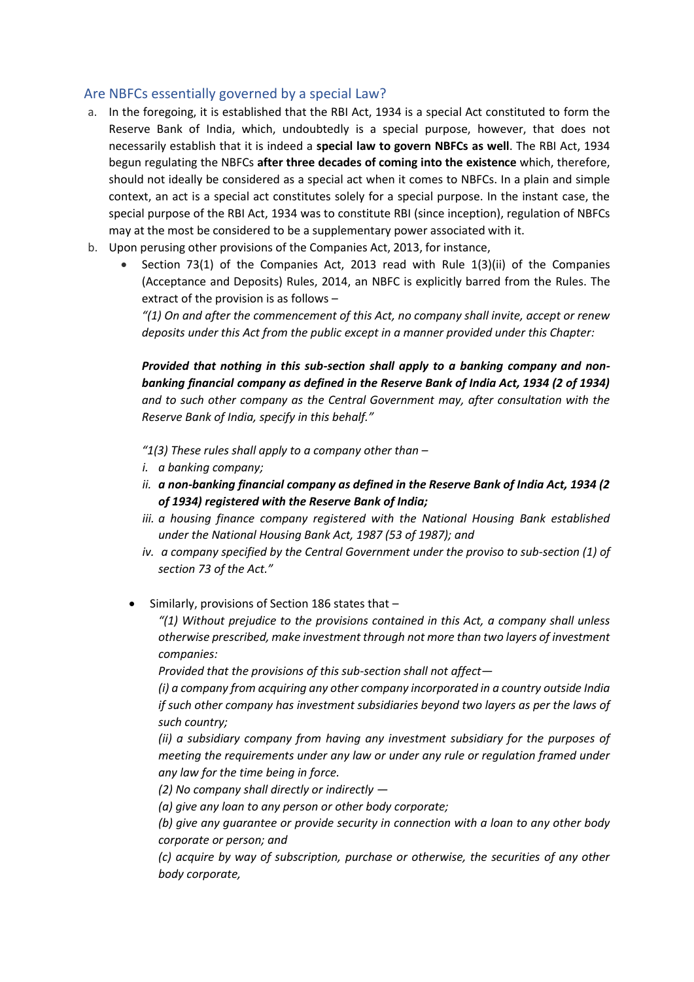#### Are NBFCs essentially governed by a special Law?

- a. In the foregoing, it is established that the RBI Act, 1934 is a special Act constituted to form the Reserve Bank of India, which, undoubtedly is a special purpose, however, that does not necessarily establish that it is indeed a **special law to govern NBFCs as well**. The RBI Act, 1934 begun regulating the NBFCs **after three decades of coming into the existence** which, therefore, should not ideally be considered as a special act when it comes to NBFCs. In a plain and simple context, an act is a special act constitutes solely for a special purpose. In the instant case, the special purpose of the RBI Act, 1934 was to constitute RBI (since inception), regulation of NBFCs may at the most be considered to be a supplementary power associated with it.
- b. Upon perusing other provisions of the Companies Act, 2013, for instance,
	- Section 73(1) of the Companies Act, 2013 read with Rule  $1(3)(ii)$  of the Companies (Acceptance and Deposits) Rules, 2014, an NBFC is explicitly barred from the Rules. The extract of the provision is as follows –

*"(1) On and after the commencement of this Act, no company shall invite, accept or renew deposits under this Act from the public except in a manner provided under this Chapter:*

*Provided that nothing in this sub-section shall apply to a banking company and nonbanking financial company as defined in the Reserve Bank of India Act, 1934 (2 of 1934) and to such other company as the Central Government may, after consultation with the Reserve Bank of India, specify in this behalf."*

*"1(3) These rules shall apply to a company other than –*

- *i. a banking company;*
- *ii. a non-banking financial company as defined in the Reserve Bank of India Act, 1934 (2 of 1934) registered with the Reserve Bank of India;*
- *iii. a housing finance company registered with the National Housing Bank established under the National Housing Bank Act, 1987 (53 of 1987); and*
- *iv. a company specified by the Central Government under the proviso to sub-section (1) of section 73 of the Act."*

• Similarly, provisions of Section 186 states that –

*"(1) Without prejudice to the provisions contained in this Act, a company shall unless otherwise prescribed, make investment through not more than two layers of investment companies:*

*Provided that the provisions of this sub-section shall not affect—*

*(i) a company from acquiring any other company incorporated in a country outside India if such other company has investment subsidiaries beyond two layers as per the laws of such country;*

*(ii) a subsidiary company from having any investment subsidiary for the purposes of meeting the requirements under any law or under any rule or regulation framed under any law for the time being in force.*

*(2) No company shall directly or indirectly —*

*(a) give any loan to any person or other body corporate;*

*(b) give any guarantee or provide security in connection with a loan to any other body corporate or person; and*

*(c) acquire by way of subscription, purchase or otherwise, the securities of any other body corporate,*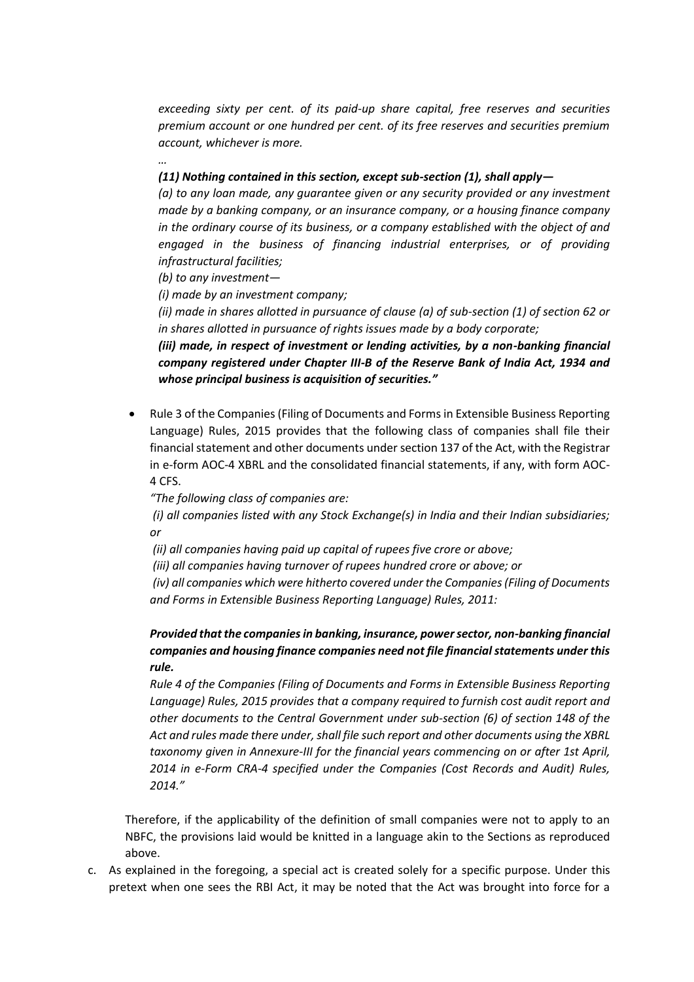*exceeding sixty per cent. of its paid-up share capital, free reserves and securities premium account or one hundred per cent. of its free reserves and securities premium account, whichever is more.*

#### *(11) Nothing contained in this section, except sub-section (1), shall apply—*

*(a) to any loan made, any guarantee given or any security provided or any investment made by a banking company, or an insurance company, or a housing finance company in the ordinary course of its business, or a company established with the object of and engaged in the business of financing industrial enterprises, or of providing infrastructural facilities;*

*(b) to any investment—*

*…*

*(i) made by an investment company;*

*(ii) made in shares allotted in pursuance of clause (a) of sub-section (1) of section 62 or in shares allotted in pursuance of rights issues made by a body corporate;*

*(iii) made, in respect of investment or lending activities, by a non-banking financial company registered under Chapter III-B of the Reserve Bank of India Act, 1934 and whose principal business is acquisition of securities."*

• Rule 3 of the Companies (Filing of Documents and Forms in Extensible Business Reporting Language) Rules, 2015 provides that the following class of companies shall file their financial statement and other documents under section 137 of the Act, with the Registrar in e-form AOC-4 XBRL and the consolidated financial statements, if any, with form AOC-4 CFS.

*"The following class of companies are:*

*(i) all companies listed with any Stock Exchange(s) in India and their Indian subsidiaries; or*

*(ii) all companies having paid up capital of rupees five crore or above;*

*(iii) all companies having turnover of rupees hundred crore or above; or*

*(iv) all companies which were hitherto covered under the Companies (Filing of Documents and Forms in Extensible Business Reporting Language) Rules, 2011:*

#### *Provided that the companies in banking, insurance, power sector, non-banking financial companies and housing finance companies need not file financial statements under this rule.*

*Rule 4 of the Companies (Filing of Documents and Forms in Extensible Business Reporting Language) Rules, 2015 provides that a company required to furnish cost audit report and other documents to the Central Government under sub-section (6) of section 148 of the Act and rules made there under, shall file such report and other documents using the XBRL taxonomy given in Annexure-III for the financial years commencing on or after 1st April, 2014 in e-Form CRA-4 specified under the Companies (Cost Records and Audit) Rules, 2014."*

Therefore, if the applicability of the definition of small companies were not to apply to an NBFC, the provisions laid would be knitted in a language akin to the Sections as reproduced above.

c. As explained in the foregoing, a special act is created solely for a specific purpose. Under this pretext when one sees the RBI Act, it may be noted that the Act was brought into force for a